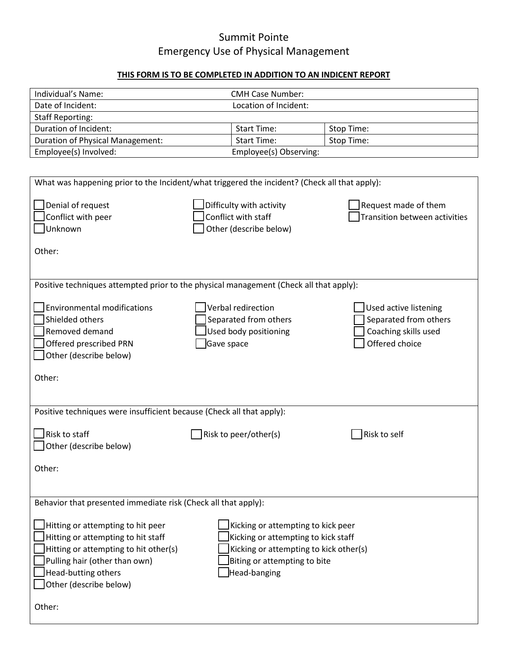## Summit Pointe Emergency Use of Physical Management

## **THIS FORM IS TO BE COMPLETED IN ADDITION TO AN INDICENT REPORT**

| Individual's Name:               | <b>CMH Case Number:</b> |            |  |  |
|----------------------------------|-------------------------|------------|--|--|
| Date of Incident:                | Location of Incident:   |            |  |  |
| <b>Staff Reporting:</b>          |                         |            |  |  |
| Duration of Incident:            | <b>Start Time:</b>      | Stop Time: |  |  |
| Duration of Physical Management: | <b>Start Time:</b>      | Stop Time: |  |  |
| Employee(s) Involved:            | Employee(s) Observing:  |            |  |  |

| What was happening prior to the Incident/what triggered the incident? (Check all that apply):                                                                                                                                                                                                                                                                             |                                                                                        |                                                                                          |  |  |  |
|---------------------------------------------------------------------------------------------------------------------------------------------------------------------------------------------------------------------------------------------------------------------------------------------------------------------------------------------------------------------------|----------------------------------------------------------------------------------------|------------------------------------------------------------------------------------------|--|--|--|
| Denial of request<br>Conflict with peer<br>Unknown<br>Other:                                                                                                                                                                                                                                                                                                              | Difficulty with activity<br>Conflict with staff<br>Other (describe below)              | Request made of them<br><b>Transition between activities</b>                             |  |  |  |
|                                                                                                                                                                                                                                                                                                                                                                           | Positive techniques attempted prior to the physical management (Check all that apply): |                                                                                          |  |  |  |
| <b>Environmental modifications</b><br>Shielded others<br>Removed demand<br>Offered prescribed PRN<br>Other (describe below)                                                                                                                                                                                                                                               | Verbal redirection<br>Separated from others<br>Used body positioning<br>Gave space     | Used active listening<br>Separated from others<br>Coaching skills used<br>Offered choice |  |  |  |
| Other:                                                                                                                                                                                                                                                                                                                                                                    |                                                                                        |                                                                                          |  |  |  |
|                                                                                                                                                                                                                                                                                                                                                                           |                                                                                        |                                                                                          |  |  |  |
| Positive techniques were insufficient because (Check all that apply):                                                                                                                                                                                                                                                                                                     |                                                                                        |                                                                                          |  |  |  |
| Risk to staff<br>Other (describe below)                                                                                                                                                                                                                                                                                                                                   | Risk to peer/other(s)                                                                  | Risk to self                                                                             |  |  |  |
| Other:                                                                                                                                                                                                                                                                                                                                                                    |                                                                                        |                                                                                          |  |  |  |
|                                                                                                                                                                                                                                                                                                                                                                           |                                                                                        |                                                                                          |  |  |  |
| Behavior that presented immediate risk (Check all that apply):                                                                                                                                                                                                                                                                                                            |                                                                                        |                                                                                          |  |  |  |
| Hitting or attempting to hit peer<br>Kicking or attempting to kick peer<br>Hitting or attempting to hit staff<br>Kicking or attempting to kick staff<br>Hitting or attempting to hit other(s)<br>Kicking or attempting to kick other(s)<br>Pulling hair (other than own)<br>Biting or attempting to bite<br>Head-butting others<br>Head-banging<br>Other (describe below) |                                                                                        |                                                                                          |  |  |  |
| Other:                                                                                                                                                                                                                                                                                                                                                                    |                                                                                        |                                                                                          |  |  |  |